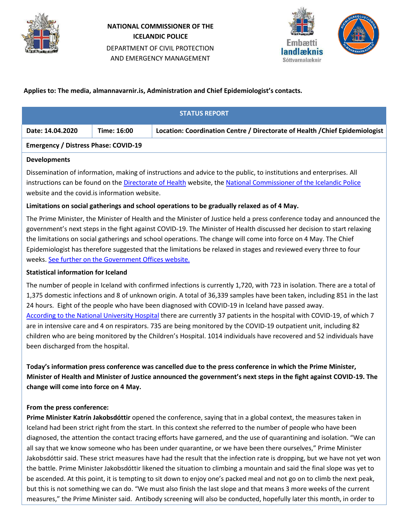

# **NATIONAL COMMISSIONER OF THE ICELANDIC POLICE** DEPARTMENT OF CIVIL PROTECTION AND EMERGENCY MANAGEMENT



## **Applies to: The media, almannavarnir.is, Administration and Chief Epidemiologist's contacts.**

| <b>STATUS REPORT</b>                        |             |                                                                              |
|---------------------------------------------|-------------|------------------------------------------------------------------------------|
| Date: 14.04.2020                            | Time: 16:00 | Location: Coordination Centre / Directorate of Health / Chief Epidemiologist |
| <b>Emergency / Distress Phase: COVID-19</b> |             |                                                                              |

### **Developments**

Dissemination of information, making of instructions and advice to the public, to institutions and enterprises. All instructions can be found on the [Directorate of Health](https://www.landlaeknir.is/koronaveira) website, the [National Commissioner of the Icelandic Police](https://www.almannavarnir.is/) website and the covid.is information website.

## **Limitations on social gatherings and school operations to be gradually relaxed as of 4 May.**

The Prime Minister, the Minister of Health and the Minister of Justice held a press conference today and announced the government's next steps in the fight against COVID-19. The Minister of Health discussed her decision to start relaxing the limitations on social gatherings and school operations. The change will come into force on 4 May. The Chief Epidemiologist has therefore suggested that the limitations be relaxed in stages and reviewed every three to four weeks. [See further on the Government Offices website.](https://www.stjornarradid.is/efst-a-baugi/frettir/stok-frett/2020/04/14/Dregid-ur-takmorkunum-a-samkomum-og-skolahaldi-fra-4.-mai/)

### **Statistical information for Iceland**

The number of people in Iceland with confirmed infections is currently 1,720, with 723 in isolation. There are a total of 1,375 domestic infections and 8 of unknown origin. A total of 36,339 samples have been taken, including 851 in the last 24 hours. Eight of the people who have been diagnosed with COVID-19 in Iceland have passed away. [According to the National University Hospital](https://www.landspitali.is/default.aspx?pageid=b629a8e0-b262-49e0-b842-0f776cb4241e) there are currently 37 patients in the hospital with COVID-19, of which 7 are in intensive care and 4 on respirators. 735 are being monitored by the COVID-19 outpatient unit, including 82 children who are being monitored by the Children's Hospital. 1014 individuals have recovered and 52 individuals have been discharged from the hospital.

**Today's information press conference was cancelled due to the press conference in which the Prime Minister, Minister of Health and Minister of Justice announced the government's next steps in the fight against COVID-19. The change will come into force on 4 May.**

## **From the press conference:**

**Prime Minister Katrín Jakobsdóttir** opened the conference, saying that in a global context, the measures taken in Iceland had been strict right from the start. In this context she referred to the number of people who have been diagnosed, the attention the contact tracing efforts have garnered, and the use of quarantining and isolation. "We can all say that we know someone who has been under quarantine, or we have been there ourselves," Prime Minister Jakobsdóttir said. These strict measures have had the result that the infection rate is dropping, but we have not yet won the battle. Prime Minister Jakobsdóttir likened the situation to climbing a mountain and said the final slope was yet to be ascended. At this point, it is tempting to sit down to enjoy one's packed meal and not go on to climb the next peak, but this is not something we can do. "We must also finish the last slope and that means 3 more weeks of the current measures," the Prime Minister said. Antibody screening will also be conducted, hopefully later this month, in order to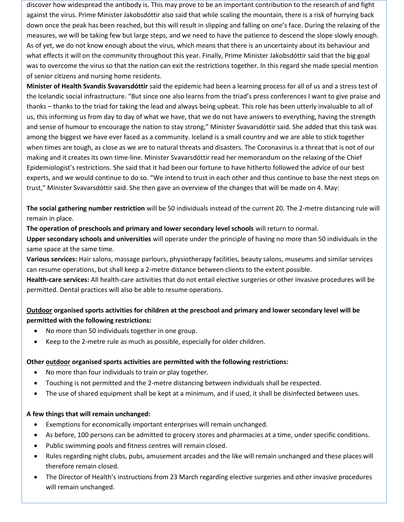discover how widespread the antibody is. This may prove to be an important contribution to the research of and fight against the virus. Prime Minister Jakobsdóttir also said that while scaling the mountain, there is a risk of hurrying back down once the peak has been reached, but this will result in slipping and falling on one's face. During the relaxing of the measures, we will be taking few but large steps, and we need to have the patience to descend the slope slowly enough. As of yet, we do not know enough about the virus, which means that there is an uncertainty about its behaviour and what effects it will on the community throughout this year. Finally, Prime Minister Jakobsdóttir said that the big goal was to overcome the virus so that the nation can exit the restrictions together. In this regard she made special mention of senior citizens and nursing home residents.

**Minister of Health Svandís Svavarsdóttir** said the epidemic had been a learning process for all of us and a stress test of the Icelandic social infrastructure. "But since one also learns from the triad's press conferences I want to give praise and thanks – thanks to the triad for taking the lead and always being upbeat. This role has been utterly invaluable to all of us, this informing us from day to day of what we have, that we do not have answers to everything, having the strength and sense of humour to encourage the nation to stay strong," Minister Svavarsdóttir said. She added that this task was among the biggest we have ever faced as a community. Iceland is a small country and we are able to stick together when times are tough, as close as we are to natural threats and disasters. The Coronavirus is a threat that is not of our making and it creates its own time-line. Minister Svavarsdóttir read her memorandum on the relaxing of the Chief Epidemiologist's restrictions. She said that it had been our fortune to have hitherto followed the advice of our best experts, and we would continue to do so. "We intend to trust in each other and thus continue to base the next steps on trust," Minister Svavarsdóttir said. She then gave an overview of the changes that will be made on 4. May:

**The social gathering number restriction** will be 50 individuals instead of the current 20. The 2-metre distancing rule will remain in place.

**The operation of preschools and primary and lower secondary level schools** will return to normal.

**Upper secondary schools and universities** will operate under the principle of having no more than 50 individuals in the same space at the same time.

**Various services:** Hair salons, massage parlours, physiotherapy facilities, beauty salons, museums and similar services can resume operations, but shall keep a 2-metre distance between clients to the extent possible.

**Health-care services:** All health-care activities that do not entail elective surgeries or other invasive procedures will be permitted. Dental practices will also be able to resume operations.

## **Outdoor organised sports activities for children at the preschool and primary and lower secondary level will be permitted with the following restrictions:**

- No more than 50 individuals together in one group.
- Keep to the 2-metre rule as much as possible, especially for older children.

## **Other outdoor organised sports activities are permitted with the following restrictions:**

- No more than four individuals to train or play together.
- Touching is not permitted and the 2-metre distancing between individuals shall be respected.
- The use of shared equipment shall be kept at a minimum, and if used, it shall be disinfected between uses.

### **A few things that will remain unchanged:**

- Exemptions for economically important enterprises will remain unchanged.
- As before, 100 persons can be admitted to grocery stores and pharmacies at a time, under specific conditions.
- Public swimming pools and fitness centres will remain closed.
- Rules regarding night clubs, pubs, amusement arcades and the like will remain unchanged and these places will therefore remain closed.
- The Director of Health's instructions from 23 March regarding elective surgeries and other invasive procedures will remain unchanged.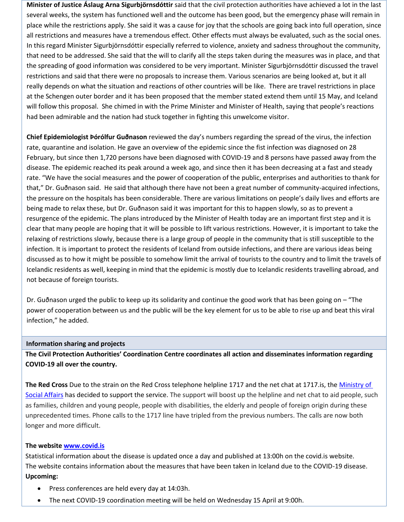**Minister of Justice Áslaug Arna Sigurbjörnsdóttir** said that the civil protection authorities have achieved a lot in the last several weeks, the system has functioned well and the outcome has been good, but the emergency phase will remain in place while the restrictions apply. She said it was a cause for joy that the schools are going back into full operation, since all restrictions and measures have a tremendous effect. Other effects must always be evaluated, such as the social ones. In this regard Minister Sigurbjörnsdóttir especially referred to violence, anxiety and sadness throughout the community, that need to be addressed. She said that the will to clarify all the steps taken during the measures was in place, and that the spreading of good information was considered to be very important. Minister Sigurbjörnsdóttir discussed the travel restrictions and said that there were no proposals to increase them. Various scenarios are being looked at, but it all really depends on what the situation and reactions of other countries will be like. There are travel restrictions in place at the Schengen outer border and it has been proposed that the member stated extend them until 15 May, and Iceland will follow this proposal. She chimed in with the Prime Minister and Minister of Health, saying that people's reactions had been admirable and the nation had stuck together in fighting this unwelcome visitor.

**Chief Epidemiologist Þórólfur Guðnason** reviewed the day's numbers regarding the spread of the virus, the infection rate, quarantine and isolation. He gave an overview of the epidemic since the fist infection was diagnosed on 28 February, but since then 1,720 persons have been diagnosed with COVID-19 and 8 persons have passed away from the disease. The epidemic reached its peak around a week ago, and since then it has been decreasing at a fast and steady rate. "We have the social measures and the power of cooperation of the public, enterprises and authorities to thank for that," Dr. Guðnason said. He said that although there have not been a great number of community-acquired infections, the pressure on the hospitals has been considerable. There are various limitations on people's daily lives and efforts are being made to relax these, but Dr. Guðnason said it was important for this to happen slowly, so as to prevent a resurgence of the epidemic. The plans introduced by the Minister of Health today are an important first step and it is clear that many people are hoping that it will be possible to lift various restrictions. However, it is important to take the relaxing of restrictions slowly, because there is a large group of people in the community that is still susceptible to the infection. It is important to protect the residents of Iceland from outside infections, and there are various ideas being discussed as to how it might be possible to somehow limit the arrival of tourists to the country and to limit the travels of Icelandic residents as well, keeping in mind that the epidemic is mostly due to Icelandic residents travelling abroad, and not because of foreign tourists.

Dr. Guðnason urged the public to keep up its solidarity and continue the good work that has been going on – "The power of cooperation between us and the public will be the key element for us to be able to rise up and beat this viral infection," he added.

### **Information sharing and projects**

**The Civil Protection Authorities' Coordination Centre coordinates all action and disseminates information regarding COVID-19 all over the country.**

**The Red Cross** Due to the strain on the Red Cross telephone helpline 1717 and the net chat at 1717.is, the [Ministry of](https://www.stjornarradid.is/efst-a-baugi/frettir/stok-frett/2020/03/27/Hjalparsimi-og-netspjall-Rauda-krossins-eflt-med-studningi-felagsmalaraduneytis-/)  [Social Affairs](https://www.stjornarradid.is/efst-a-baugi/frettir/stok-frett/2020/03/27/Hjalparsimi-og-netspjall-Rauda-krossins-eflt-med-studningi-felagsmalaraduneytis-/) has decided to support the service. The support will boost up the helpline and net chat to aid people, such as families, children and young people, people with disabilities, the elderly and people of foreign origin during these unprecedented times. Phone calls to the 1717 line have tripled from the previous numbers. The calls are now both longer and more difficult.

#### **The websit[e www.covid.is](http://www.covid.is/)**

Statistical information about the disease is updated once a day and published at 13:00h on the covid.is website. The website contains information about the measures that have been taken in Iceland due to the COVID-19 disease. **Upcoming:**

- Press conferences are held every day at 14:03h.
- The next COVID-19 coordination meeting will be held on Wednesday 15 April at 9:00h.